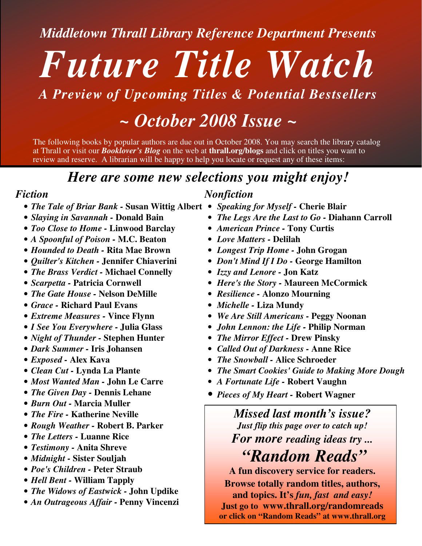*Middletown Thrall Library Reference Department Presents*

# *Future Title Watch*

## *A Preview of Upcoming Titles & Potential Bestsellers*

## *~ October 2008 Issue ~*

The following books by popular authors are due out in October 2008. You may search the library catalog at Thrall or visit our *Booklover's Blog* on the web at **thrall.org/blogs** and click on titles you want to review and reserve. A librarian will be happy to help you locate or request any of these items:

## *Here are some new selections you might enjoy!*

#### *Fiction*

- *The Tale of Briar Bank -* **Susan Wittig Albert** *Speaking for Myself -* **Cherie Blair**
- *Slaying in Savannah -* **Donald Bain**
- *Too Close to Home -* **Linwood Barclay**
- *A Spoonful of Poison -* **M.C. Beaton**
- *Hounded to Death -* **Rita Mae Brown**
- *Quilter's Kitchen -* **Jennifer Chiaverini**
- *The Brass Verdict -* **Michael Connelly**
- *Scarpetta -* **Patricia Cornwell**
- *The Gate House -* **Nelson DeMille**
- *Grace -* **Richard Paul Evans**
- *Extreme Measures -* **Vince Flynn**
- *I See You Everywhere -* **Julia Glass**
- *Night of Thunder -* **Stephen Hunter**
- *Dark Summer -* **Iris Johansen**
- *Exposed -* **Alex Kava**
- *Clean Cut -* **Lynda La Plante**
- *Most Wanted Man -* **John Le Carre**
- *The Given Day -* **Dennis Lehane**
- *Burn Out -* **Marcia Muller**
- *The Fire -* **Katherine Neville**
- *Rough Weather -* **Robert B. Parker**
- *The Letters -* **Luanne Rice**
- *Testimony -* **Anita Shreve**
- *Midnight -* **Sister Souljah**
- *Poe's Children -* **Peter Straub**
- *Hell Bent -* **William Tapply**
- *The Widows of Eastwick -* **John Updike**
- *An Outrageous Affair -* **Penny Vincenzi**

#### *Nonfiction*

- 
- *The Legs Are the Last to Go -* **Diahann Carroll**
- *American Prince -* **Tony Curtis**
- *Love Matters -* **Delilah**
- *Longest Trip Home -* **John Grogan**
- *Don't Mind If I Do -* **George Hamilton**
- *Izzy and Lenore -* **Jon Katz**
- *Here's the Story -* **Maureen McCormick**
- *Resilience -* **Alonzo Mourning**
- *Michelle -* **Liza Mundy**
- *We Are Still Americans -* **Peggy Noonan**
- *John Lennon: the Life -* **Philip Norman**
- *The Mirror Effect -* **Drew Pinsky**
- *Called Out of Darkness -* **Anne Rice**
- *The Snowball -* **Alice Schroeder**
- *The Smart Cookies'Guide to Making More Dough*
- *A Fortunate Life -* **Robert Vaughn**
- *Pieces of My Heart -* **Robert Wagner**

## *Missed last month's issue? Just flip this page over to catch up! For more reading ideas try ...*

*"Random Reads"*

**A fun discovery service for readers.**

**Browse totally random titles, authors,**

**and topics. It's** *fun, fast and easy!* **Just go to www.thrall.org/randomreads or click on "Random Reads" at www.thrall.org**